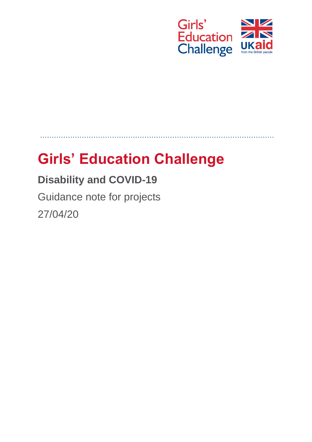

# **Girls' Education Challenge**

## **Disability and COVID-19**

Guidance note for projects 27/04/20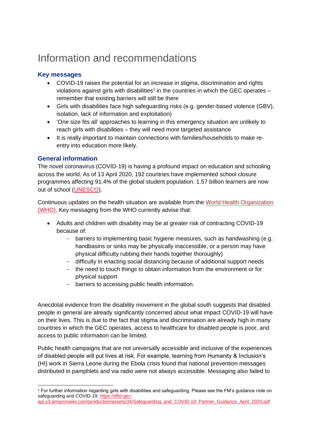### Information and recommendations

#### **Key messages**

- COVID-19 raises the potential for an increase in stigma, discrimination and rights violations against girls with disabilities<sup>1</sup> in the countries in which the GEC operates  $$ remember that existing barriers will still be there
- Girls with disabilities face high safeguarding risks (e.g. gender-based violence (GBV), isolation, lack of information and exploitation)
- 'One size fits all' approaches to learning in this emergency situation are unlikely to reach girls with disabilities – they will need more targeted assistance
- It is really important to maintain connections with families/households to make reentry into education more likely.

#### **General information**

The novel coronavirus (COVID-19) is having a profound impact on education and schooling across the world. As of 13 April 2020, 192 countries have implemented school closure programmes affecting 91.4% of the global student population. 1.57 billion learners are now out of school [\(UNESCO\)](https://en.unesco.org/covid19/educationresponse).

Continuous updates on the health situation are available from the [World Health Or](https://www.who.int/emergencies/diseases/novel-coronavirus-2019)ganization (WHO). Key messaging from the WHO currently advise that:

- Adults and children with disability may be at greater risk of contracting COVID-19 because of:
	- barriers to implementing basic hygiene measures, such as handwashing (e.g. handbasins or sinks may be physically inaccessible, or a person may have physical difficulty rubbing their hands together thoroughly)
	- difficulty in enacting social distancing because of additional support needs
	- the need to touch things to obtain information from the environment or for physical support
	- barriers to accessing public health information.

Anecdotal evidence from the disability movement in the global south suggests that disabled people in general are already significantly concerned about what impact COVID-19 will have on their lives. This is due to the fact that stigma and discrimination are already high in many countries in which the GEC operates, access to healthcare for disabled people is poor, and access to public information can be limited.

Public health campaigns that are not universally accessible and inclusive of the experiences of disabled people will put lives at risk. For example, learning from Humanity & Inclusion's (HI) work in Sierra Leone during the Ebola crisis found that national prevention messages distributed in pamphlets and via radio were not always accessible. Messaging also failed to

<sup>1</sup> For further information regarding girls with disabilities and safeguarding. Please see the FM's guidance note on safeguarding and COVID-19[: https://dfid-gec](https://dfid-gec-api.s3.amazonaws.com/production/assets/34/Safeguarding_and_COVID-19_Partner_Guidance_April_2020.pdf)[api.s3.amazonaws.com/production/assets/34/Safeguarding\\_and\\_COVID-19\\_Partner\\_Guidance\\_April\\_2020.pdf](https://dfid-gec-api.s3.amazonaws.com/production/assets/34/Safeguarding_and_COVID-19_Partner_Guidance_April_2020.pdf)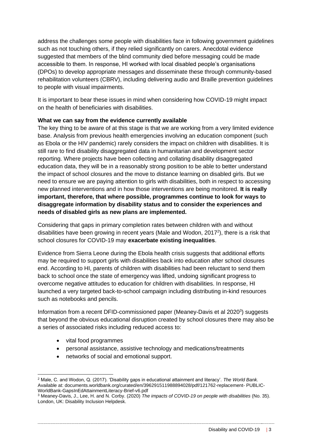address the challenges some people with disabilities face in following government guidelines such as not touching others, if they relied significantly on carers. Anecdotal evidence suggested that members of the blind community died before messaging could be made accessible to them. In response, HI worked with local disabled people's organisations (DPOs) to develop appropriate messages and disseminate these through community-based rehabilitation volunteers (CBRV), including delivering audio and Braille prevention guidelines to people with visual impairments.

It is important to bear these issues in mind when considering how COVID-19 might impact on the health of beneficiaries with disabilities.

#### **What we can say from the evidence currently available**

The key thing to be aware of at this stage is that we are working from a very limited evidence base. Analysis from previous health emergencies involving an education component (such as Ebola or the HIV pandemic) rarely considers the impact on children with disabilities. It is still rare to find disability disaggregated data in humanitarian and development sector reporting. Where projects have been collecting and collating disability disaggregated education data, they will be in a reasonably strong position to be able to better understand the impact of school closures and the move to distance learning on disabled girls. But we need to ensure we are paying attention to girls with disabilities, both in respect to accessing new planned interventions and in how those interventions are being monitored. **It is really important, therefore, that where possible, programmes continue to look for ways to disaggregate information by disability status and to consider the experiences and needs of disabled girls as new plans are implemented.**

Considering that gaps in primary completion rates between children with and without disabilities have been growing in recent years (Male and Wodon, 2017<sup>2</sup>), there is a risk that school closures for COVID-19 may **exacerbate existing inequalities**.

Evidence from Sierra Leone during the Ebola health crisis suggests that additional efforts may be required to support girls with disabilities back into education after school closures end. According to HI, parents of children with disabilities had been reluctant to send them back to school once the state of emergency was lifted, undoing significant progress to overcome negative attitudes to education for children with disabilities. In response, HI launched a very targeted back-to-school campaign including distributing in-kind resources such as notebooks and pencils.

Information from a recent DFID-commissioned paper (Meaney-Davis et al 2020<sup>3</sup>) suggests that beyond the obvious educational disruption created by school closures there may also be a series of associated risks including reduced access to:

- vital food programmes
- personal assistance, assistive technology and medications/treatments
- networks of social and emotional support.

<sup>2</sup> Male, C. and Wodon, Q. (2017). 'Disability gaps in educational attainment and literacy'. *The World Bank.*  Available at: documents.worldbank.org/curated/en/396291511988894028/pdf/121762-replacement- PUBLIC-WorldBank-GapsInEdAttainmentLiteracy-Brief-v6.pdf

<sup>3</sup> Meaney-Davis, J., Lee, H. and N. Corby. (2020) *The impacts of COVID-19 on people with disabilities* (No. 35). London, UK: Disability Inclusion Helpdesk.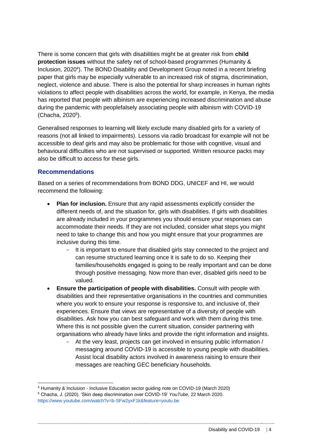There is some concern that girls with disabilities might be at greater risk from **child protection issues** without the safety net of school-based programmes (Humanity & Inclusion, 2020<sup>4</sup>). The BOND Disability and Development Group noted in a recent briefing paper that girls may be especially vulnerable to an increased risk of stigma, discrimination, neglect, violence and abuse. There is also the potential for sharp increases in human rights violations to affect people with disabilities across the world, for example, in Kenya, the media has reported that people with albinism are experiencing increased discrimination and abuse during the pandemic with peoplefalsely associating people with albinism with COVID-19 (Chacha, 2020<sup>5</sup>).

Generalised responses to learning will likely exclude many disabled girls for a variety of reasons (not all linked to impairments). Lessons via radio broadcast for example will not be accessible to deaf girls and may also be problematic for those with cognitive, visual and behavioural difficulties who are not supervised or supported. Written resource packs may also be difficult to access for these girls.

#### **Recommendations**

Based on a series of recommendations from BOND DDG, UNICEF and HI, we would recommend the following:

- **Plan for inclusion.** Ensure that any rapid assessments explicitly consider the different needs of, and the situation for, girls with disabilities. If girls with disabilities are already included in your programmes you should ensure your responses can accommodate their needs. If they are not included, consider what steps you might need to take to change this and how you might ensure that your programmes are inclusive during this time.
	- It is important to ensure that disabled girls stay connected to the project and can resume structured learning once it is safe to do so. Keeping their families/households engaged is going to be really important and can be done through positive messaging. Now more than ever, disabled girls need to be valued.
- **Ensure the participation of people with disabilities.** Consult with people with disabilities and their representative organisations in the countries and communities where you work to ensure your response is responsive to, and inclusive of, their experiences. Ensure that views are representative of a diversity of people with disabilities. Ask how you can best safeguard and work with them during this time. Where this is not possible given the current situation, consider partnering with organisations who already have links and provide the right information and insights.
	- At the very least, projects can get involved in ensuring public information / messaging around COVID-19 is accessible to young people with disabilities. Assist local disability actors involved in awareness raising to ensure their messages are reaching GEC beneficiary households.

<sup>4</sup> Humanity & Inclusion - Inclusive Education sector guiding note on COVID-19 (March 2020) <sup>5</sup> Chacha, J. (2020). 'Skin deep discrimination over COVID-19' *YouTube,* 22 March 2020. https://www.youtube.com/watch?v=b-SFw2yxF1k&feature=youtu.be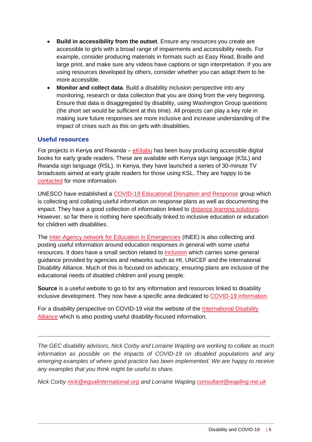- **Build in accessibility from the outset**. Ensure any resources you create are accessible to girls with a broad range of impairments and accessibility needs. For example, consider producing materials in formats such as Easy Read, Braille and large print, and make sure any videos have captions or sign interpretation. If you are using resources developed by others, consider whether you can adapt them to be more accessible.
- **Monitor and collect data**. Build a disability inclusion perspective into any monitoring, research or data collection that you are doing from the very beginning. Ensure that data is disaggregated by disability, using Washington Group questions (the short set would be sufficient at this time). All projects can play a key role in making sure future responses are more inclusive and increase understanding of the impact of crises such as this on girls with disabilities.

#### **Useful resources**

For projects in Kenya and Rwanda – [eKitabu](https://www.ekitabu.com/index.php/2019/07/30/kenyan-publishers-awarded-for-developing-born-accessible-content-in-kenyas-content-development-challenge/) has been busy producing accessible digital books for early grade readers. These are available with Kenya sign language (KSL) and Rwanda sign language (RSL). In Kenya, they have launched a series of 30-minute TV broadcasts aimed at early grade readers for those using KSL. They are happy to be [contacted](https://www.ekitabu.com/index.php/contact-us/) for more information.

UNESCO have established a [COVID-19 Educational Disruption and Response](https://en.unesco.org/covid19/educationresponse) group which is collecting and collating useful information on response plans as well as documenting the impact. They have a good collection of information linked to [distance learning solutions.](https://en.unesco.org/covid19/educationresponse/solutions) However, so far there is nothing here specifically linked to inclusive education or education for children with disabilities.

The [Inter-Agency network for Education in Emergencies](https://inee.org/collections/coronavirus-covid-19) (INEE) is also collecting and posting useful information around education responses in general with some useful resources. It does have a small section related to [inclusion](https://inee.org/collections/coronavirus-covid-19/inclusion) which carries some general guidance provided by agencies and networks such as HI, UNICEF and the International Disability Alliance. Much of this is focused on advocacy, ensuring plans are inclusive of the educational needs of disabled children and young people.

**Source** is a useful website to go to for any information and resources linked to disability inclusive development. They now have a specific area dedicated to [COVID-19 information.](https://asksource.info/covid-resources/search)

For a disability perspective on COVID-19 visit the website of the [International Disability](http://www.internationaldisabilityalliance.org/content/covid-19-and-disability-movement)  [Alliance](http://www.internationaldisabilityalliance.org/content/covid-19-and-disability-movement) which is also posting useful disability-focused information.

*The GEC disability advisors, Nick Corby and Lorraine Wapling are working to collate as much information as possible on the impacts of COVID-19 on disabled populations and any emerging examples of where good practice has been implemented. We are happy to receive any examples that you think might be useful to share.*

*\_\_\_\_\_\_\_\_\_\_\_\_\_\_\_\_\_\_\_\_\_\_\_\_\_\_\_\_\_\_\_\_\_\_\_\_\_\_\_\_\_\_\_\_\_\_\_\_\_\_\_\_\_\_\_\_\_\_\_\_\_\_\_\_\_\_\_\_\_\_\_\_\_\_\_\_\_\_\_\_\_\_\_\_\_\_\_\_\_\_\_\_\_\_\_\_\_\_\_\_\_\_\_\_\_\_\_\_\_\_\_\_\_\_\_\_\_\_\_\_\_\_\_\_\_\_\_\_\_\_\_\_\_*

*Nick Corby [nick@equalinternational.org](mailto:nick@equalinternational.org) and Lorraine Wapling [consultant@wapling.me.uk](mailto:consultant@wapling.me.uk)*